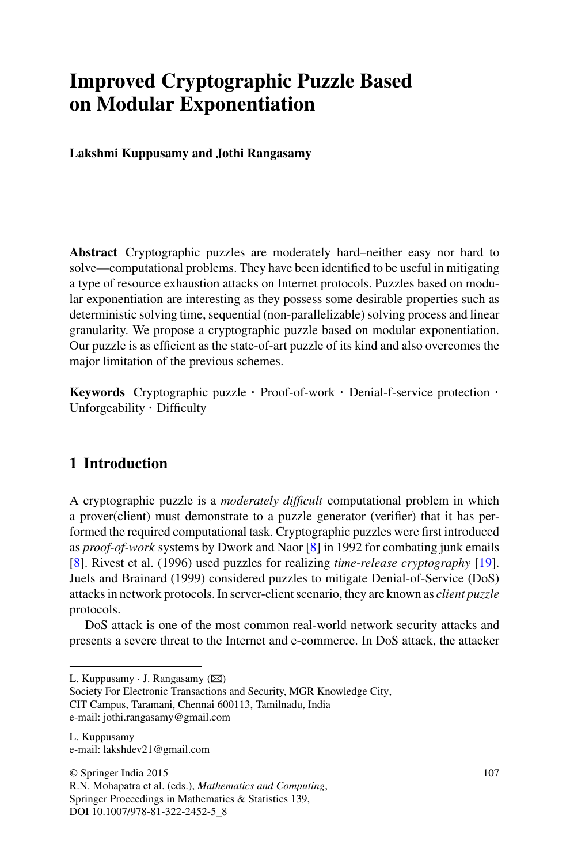# **Improved Cryptographic Puzzle Based on Modular Exponentiation**

**Lakshmi Kuppusamy and Jothi Rangasamy**

**Abstract** Cryptographic puzzles are moderately hard–neither easy nor hard to solve—computational problems. They have been identified to be useful in mitigating a type of resource exhaustion attacks on Internet protocols. Puzzles based on modular exponentiation are interesting as they possess some desirable properties such as deterministic solving time, sequential (non-parallelizable) solving process and linear granularity. We propose a cryptographic puzzle based on modular exponentiation. Our puzzle is as efficient as the state-of-art puzzle of its kind and also overcomes the major limitation of the previous schemes.

**Keywords** Cryptographic puzzle · Proof-of-work · Denial-f-service protection · Unforgeability · Difficulty

## **1 Introduction**

A cryptographic puzzle is a *moderately difficult* computational problem in which a prover(client) must demonstrate to a puzzle generator (verifier) that it has performed the required computational task. Cryptographic puzzles were first introduced as *proof-of-work* systems by Dwork and Naor [\[8](#page-13-0)] in 1992 for combating junk emails [\[8\]](#page-13-0). Rivest et al. (1996) used puzzles for realizing *time-release cryptography* [\[19](#page-13-1)]. Juels and Brainard (1999) considered puzzles to mitigate Denial-of-Service (DoS) attacks in network protocols. In server-client scenario, they are known as *client puzzle* protocols.

DoS attack is one of the most common real-world network security attacks and presents a severe threat to the Internet and e-commerce. In DoS attack, the attacker

L. Kuppusamy  $\cdot$  J. Rangasamy  $(\boxtimes)$ 

Society For Electronic Transactions and Security, MGR Knowledge City, CIT Campus, Taramani, Chennai 600113, Tamilnadu, India e-mail: jothi.rangasamy@gmail.com

L. Kuppusamy e-mail: lakshdev21@gmail.com

© Springer India 2015 R.N. Mohapatra et al. (eds.), *Mathematics and Computing*, Springer Proceedings in Mathematics & Statistics 139, DOI 10.1007/978-81-322-2452-5\_8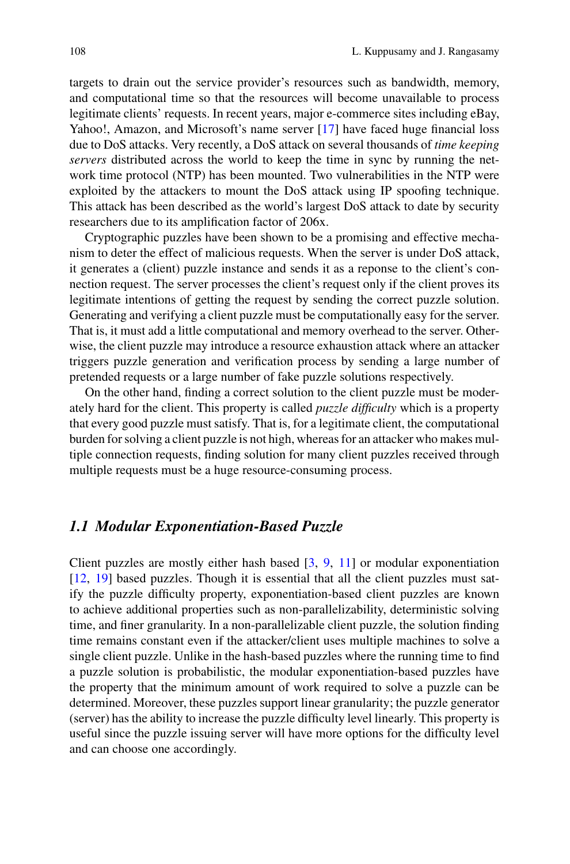targets to drain out the service provider's resources such as bandwidth, memory, and computational time so that the resources will become unavailable to process legitimate clients' requests. In recent years, major e-commerce sites including eBay, Yahoo!, Amazon, and Microsoft's name server [\[17](#page-13-2)] have faced huge financial loss due to DoS attacks. Very recently, a DoS attack on several thousands of *time keeping servers* distributed across the world to keep the time in sync by running the network time protocol (NTP) has been mounted. Two vulnerabilities in the NTP were exploited by the attackers to mount the DoS attack using IP spoofing technique. This attack has been described as the world's largest DoS attack to date by security researchers due to its amplification factor of 206x.

Cryptographic puzzles have been shown to be a promising and effective mechanism to deter the effect of malicious requests. When the server is under DoS attack, it generates a (client) puzzle instance and sends it as a reponse to the client's connection request. The server processes the client's request only if the client proves its legitimate intentions of getting the request by sending the correct puzzle solution. Generating and verifying a client puzzle must be computationally easy for the server. That is, it must add a little computational and memory overhead to the server. Otherwise, the client puzzle may introduce a resource exhaustion attack where an attacker triggers puzzle generation and verification process by sending a large number of pretended requests or a large number of fake puzzle solutions respectively.

On the other hand, finding a correct solution to the client puzzle must be moderately hard for the client. This property is called *puzzle difficulty* which is a property that every good puzzle must satisfy. That is, for a legitimate client, the computational burden for solving a client puzzle is not high, whereas for an attacker who makes multiple connection requests, finding solution for many client puzzles received through multiple requests must be a huge resource-consuming process.

#### *1.1 Modular Exponentiation-Based Puzzle*

Client puzzles are mostly either hash based [\[3,](#page-13-3) [9](#page-13-4), [11](#page-13-5)] or modular exponentiation [\[12,](#page-13-6) [19](#page-13-1)] based puzzles. Though it is essential that all the client puzzles must satify the puzzle difficulty property, exponentiation-based client puzzles are known to achieve additional properties such as non-parallelizability, deterministic solving time, and finer granularity. In a non-parallelizable client puzzle, the solution finding time remains constant even if the attacker/client uses multiple machines to solve a single client puzzle. Unlike in the hash-based puzzles where the running time to find a puzzle solution is probabilistic, the modular exponentiation-based puzzles have the property that the minimum amount of work required to solve a puzzle can be determined. Moreover, these puzzles support linear granularity; the puzzle generator (server) has the ability to increase the puzzle difficulty level linearly. This property is useful since the puzzle issuing server will have more options for the difficulty level and can choose one accordingly.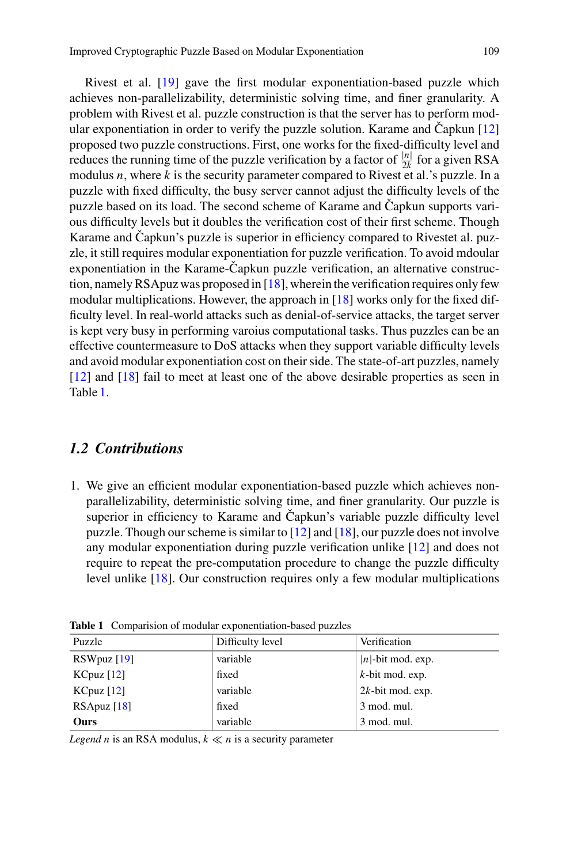Rivest et al. [\[19\]](#page-13-1) gave the first modular exponentiation-based puzzle which achieves non-parallelizability, deterministic solving time, and finer granularity. A problem with Rivest et al. puzzle construction is that the server has to perform modular exponentiation in order to verify the puzzle solution. Karame and Capkun  $[12]$  $[12]$ proposed two puzzle constructions. First, one works for the fixed-difficulty level and reduces the running time of the puzzle verification by a factor of  $\frac{|n|}{2k}$  for a given RSA modulus *n*, where *k* is the security parameter compared to Rivest et al.'s puzzle. In a puzzle with fixed difficulty, the busy server cannot adjust the difficulty levels of the puzzle based on its load. The second scheme of Karame and Capkun supports various difficulty levels but it doubles the verification cost of their first scheme. Though Karame and Capkun's puzzle is superior in efficiency compared to Rivestet al. puzzle, it still requires modular exponentiation for puzzle verification. To avoid mdoular exponentiation in the Karame-Capkun puzzle verification, an alternative construction, namely RSApuz was proposed in [\[18](#page-13-7)], wherein the verification requires only few modular multiplications. However, the approach in  $[18]$  $[18]$  works only for the fixed difficulty level. In real-world attacks such as denial-of-service attacks, the target server is kept very busy in performing varoius computational tasks. Thus puzzles can be an effective countermeasure to DoS attacks when they support variable difficulty levels and avoid modular exponentiation cost on their side. The state-of-art puzzles, namely [\[12\]](#page-13-6) and [\[18](#page-13-7)] fail to meet at least one of the above desirable properties as seen in Table [1.](#page-2-0)

#### *1.2 Contributions*

1. We give an efficient modular exponentiation-based puzzle which achieves nonparallelizability, deterministic solving time, and finer granularity. Our puzzle is superior in efficiency to Karame and Čapkun's variable puzzle difficulty level puzzle. Though our scheme is similar to [\[12\]](#page-13-6) and [\[18](#page-13-7)], our puzzle does not involve any modular exponentiation during puzzle verification unlike [\[12](#page-13-6)] and does not require to repeat the pre-computation procedure to change the puzzle difficulty level unlike [\[18](#page-13-7)]. Our construction requires only a few modular multiplications

| Puzzle         | Difficulty level | Verification         |
|----------------|------------------|----------------------|
| $RSWpuz$ [19]  | variable         | $ n $ -bit mod. exp. |
| $KCpuz$ [12]   | fixed            | $k$ -bit mod. exp.   |
| $KCpuz$ [12]   | variable         | $2k$ -bit mod. exp.  |
| $RS$ Apuz [18] | fixed            | 3 mod. mul.          |
| Ours           | variable         | 3 mod. mul.          |

<span id="page-2-0"></span>**Table 1** Comparision of modular exponentiation-based puzzles

*Legend n* is an RSA modulus,  $k \ll n$  is a security parameter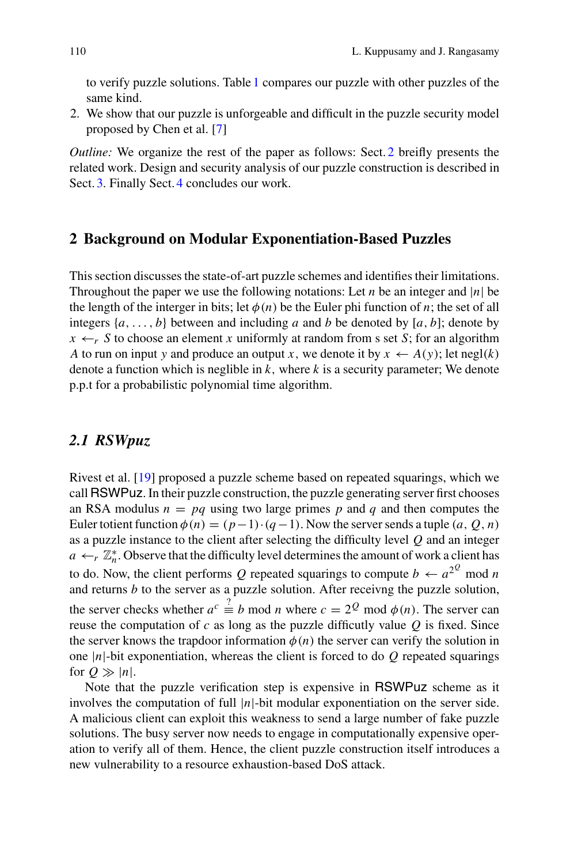to verify puzzle solutions. Table [1](#page-2-0) compares our puzzle with other puzzles of the same kind.

2. We show that our puzzle is unforgeable and difficult in the puzzle security model proposed by Chen et al. [\[7\]](#page-13-8)

*Outline:* We organize the rest of the paper as follows: Sect. [2](#page-3-0) breifly presents the related work. Design and security analysis of our puzzle construction is described in Sect. [3.](#page-6-0) Finally Sect. [4](#page-12-0) concludes our work.

# <span id="page-3-0"></span>**2 Background on Modular Exponentiation-Based Puzzles**

This section discusses the state-of-art puzzle schemes and identifies their limitations. Throughout the paper we use the following notations: Let *n* be an integer and |*n*| be the length of the interger in bits; let  $\phi(n)$  be the Euler phi function of *n*; the set of all integers  $\{a, \ldots, b\}$  between and including *a* and *b* be denoted by  $[a, b]$ ; denote by  $x \leftarrow r$  *S* to choose an element *x* uniformly at random from *s* set *S*; for an algorithm *A* to run on input *y* and produce an output *x*, we denote it by  $x \leftarrow A(y)$ ; let negl(*k*) denote a function which is neglible in  $k$ , where  $k$  is a security parameter; We denote p.p.t for a probabilistic polynomial time algorithm.

## *2.1 RSWpuz*

Rivest et al. [\[19](#page-13-1)] proposed a puzzle scheme based on repeated squarings, which we call RSWPuz. In their puzzle construction, the puzzle generating server first chooses an RSA modulus  $n = pq$  using two large primes p and q and then computes the Euler totient function  $\phi(n) = (p-1) \cdot (q-1)$ . Now the server sends a tuple  $(a, Q, n)$ as a puzzle instance to the client after selecting the difficulty level *Q* and an integer  $a \leftarrow_r \mathbb{Z}_n^*$ . Observe that the difficulty level determines the amount of work a client has to do. Now, the client performs *Q* repeated squarings to compute  $b \leftarrow a^{2^Q} \mod n$ and returns *b* to the server as a puzzle solution. After receivng the puzzle solution, the server checks whether  $a^c \stackrel{?}{=} b \mod n$  where  $c = 2^Q \mod \phi(n)$ . The server can reuse the computation of  $c$  as long as the puzzle difficutly value  $Q$  is fixed. Since the server knows the trapdoor information  $\phi(n)$  the server can verify the solution in one  $|n|$ -bit exponentiation, whereas the client is forced to do  $Q$  repeated squarings for  $Q \gg |n|$ .

Note that the puzzle verification step is expensive in RSWPuz scheme as it involves the computation of full |*n*|-bit modular exponentiation on the server side. A malicious client can exploit this weakness to send a large number of fake puzzle solutions. The busy server now needs to engage in computationally expensive operation to verify all of them. Hence, the client puzzle construction itself introduces a new vulnerability to a resource exhaustion-based DoS attack.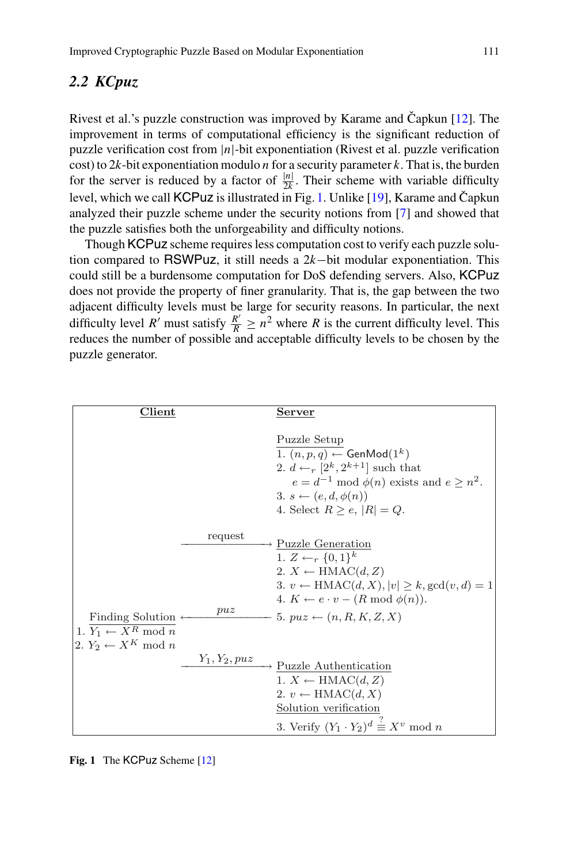## *2.2 KCpuz*

Rivest et al.'s puzzle construction was improved by Karame and Čapkun  $[12]$  $[12]$  $[12]$ . The improvement in terms of computational efficiency is the significant reduction of puzzle verification cost from |*n*|-bit exponentiation (Rivest et al. puzzle verification cost) to 2*k*-bit exponentiation modulo *n* for a security parameter *k*. That is, the burden for the server is reduced by a factor of  $\frac{|n|}{2k}$ . Their scheme with variable difficulty level, which we call KCPuz is illustrated in Fig. [1.](#page-4-0) Unlike  $[19]$  $[19]$ , Karame and Čapkun analyzed their puzzle scheme under the security notions from [\[7](#page-13-8)] and showed that the puzzle satisfies both the unforgeability and difficulty notions.

Though KCPuz scheme requires less computation cost to verify each puzzle solution compared to RSWPuz, it still needs a 2*k*−bit modular exponentiation. This could still be a burdensome computation for DoS defending servers. Also, KCPuz does not provide the property of finer granularity. That is, the gap between the two adjacent difficulty levels must be large for security reasons. In particular, the next difficulty level *R'* must satisfy  $\frac{R'}{R} \ge n^2$  where *R* is the current difficulty level. This reduces the number of possible and acceptable difficulty levels to be chosen by the puzzle generator.

| ${\bf Client}$                                                                                    |                 | Server                                                                                                                                                                                                                                  |
|---------------------------------------------------------------------------------------------------|-----------------|-----------------------------------------------------------------------------------------------------------------------------------------------------------------------------------------------------------------------------------------|
|                                                                                                   |                 | Puzzle Setup<br>1. $(n, p, q) \leftarrow$ GenMod $(1^k)$<br>2. $d \leftarrow_r [2^k, 2^{k+1}]$ such that<br>$e = d^{-1} \mod \phi(n)$ exists and $e \geq n^2$ .<br>3. $s \leftarrow (e, d, \phi(n))$<br>4. Select $R > e$ , $ R  = Q$ . |
|                                                                                                   | request         | → Puzzle Generation<br>1. $Z \leftarrow_r \{0,1\}^k$<br>2. $X \leftarrow \text{HMAC}(d, Z)$<br>3. $v \leftarrow \text{HMAC}(d, X),  v  \geq k, \gcd(v, d) = 1$<br>4. $K \leftarrow e \cdot v - (R \mod \phi(n)).$                       |
| Finding Solution $\leftarrow$<br>1. $Y_1 \leftarrow X^R \mod n$<br>2. $Y_2 \leftarrow X^K \mod n$ | puz             | $-5. \; puz \leftarrow (n, R, K, Z, X)$                                                                                                                                                                                                 |
|                                                                                                   | $Y_1, Y_2, puz$ | $\rightarrow$ Puzzle Authentication                                                                                                                                                                                                     |
|                                                                                                   |                 | 1. $X \leftarrow \text{HMAC}(d, Z)$                                                                                                                                                                                                     |
|                                                                                                   |                 | 2. $v \leftarrow \text{HMAC}(d, X)$                                                                                                                                                                                                     |
|                                                                                                   |                 | Solution verification                                                                                                                                                                                                                   |
|                                                                                                   |                 | 3. Verify $(Y_1 \cdot Y_2)^d \stackrel{\cdot}{=} X^v \mod n$                                                                                                                                                                            |

<span id="page-4-0"></span>**Fig. 1** The KCPuz Scheme [\[12\]](#page-13-6)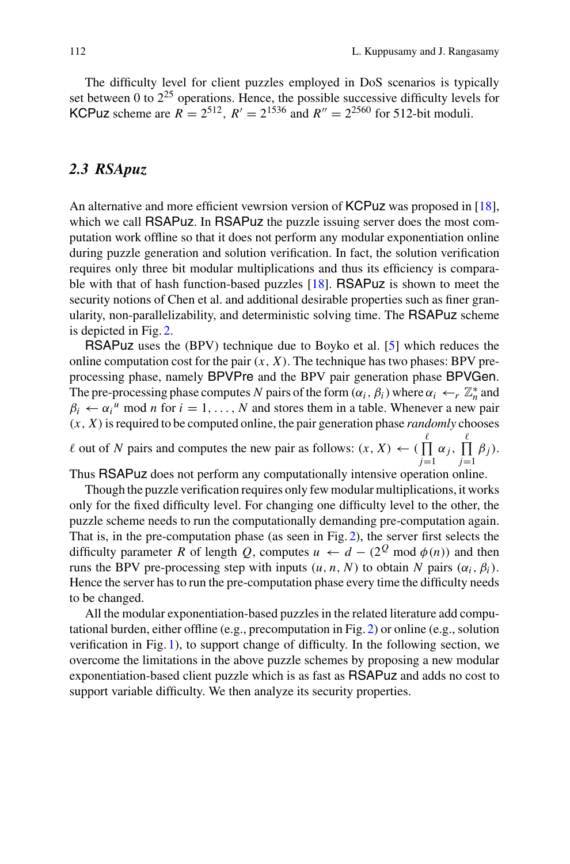The difficulty level for client puzzles employed in DoS scenarios is typically set between 0 to  $2^{25}$  operations. Hence, the possible successive difficulty levels for **KCPuz** scheme are  $R = 2^{512}$ ,  $R' = 2^{1536}$  and  $R'' = 2^{2560}$  for 512-bit moduli.

## *2.3 RSApuz*

An alternative and more efficient vewrsion version of KCPuz was proposed in [\[18](#page-13-7)], which we call **RSAPuz**. In **RSAPuz** the puzzle issuing server does the most computation work offline so that it does not perform any modular exponentiation online during puzzle generation and solution verification. In fact, the solution verification requires only three bit modular multiplications and thus its efficiency is comparable with that of hash function-based puzzles [\[18](#page-13-7)]. RSAPuz is shown to meet the security notions of Chen et al. and additional desirable properties such as finer granularity, non-parallelizability, and deterministic solving time. The RSAPuz scheme is depicted in Fig. [2.](#page-6-1)

RSAPuz uses the (BPV) technique due to Boyko et al. [\[5\]](#page-13-9) which reduces the online computation cost for the pair  $(x, X)$ . The technique has two phases: BPV preprocessing phase, namely BPVPre and the BPV pair generation phase BPVGen. The pre-processing phase computes *N* pairs of the form  $(\alpha_i, \beta_i)$  where  $\alpha_i \leftarrow r \mathbb{Z}_n^*$  and  $\beta_i \leftarrow \alpha_i^u \mod n$  for  $i = 1, ..., N$  and stores them in a table. Whenever a new pair  $(x, X)$  is required to be computed online, the pair generation phase *randomly* chooses

 $\ell$  out of *N* pairs and computes the new pair as follows:  $(x, X) \leftarrow (\prod_{i=1}^{\ell}$ *j*=1  $\alpha_j, \prod^{\ell} \beta_j$ ). *j*=1

Thus RSAPuz does not perform any computationally intensive operation online.

Though the puzzle verification requires only few modular multiplications, it works only for the fixed difficulty level. For changing one difficulty level to the other, the puzzle scheme needs to run the computationally demanding pre-computation again. That is, in the pre-computation phase (as seen in Fig. [2\)](#page-6-1), the server first selects the difficulty parameter *R* of length *Q*, computes  $u \leftarrow d - (2^Q \text{ mod } \phi(n))$  and then runs the BPV pre-processing step with inputs  $(u, n, N)$  to obtain *N* pairs  $(\alpha_i, \beta_i)$ . Hence the server has to run the pre-computation phase every time the difficulty needs to be changed.

All the modular exponentiation-based puzzles in the related literature add computational burden, either offline (e.g., precomputation in Fig. [2\)](#page-6-1) or online (e.g., solution verification in Fig. [1\)](#page-4-0), to support change of difficulty. In the following section, we overcome the limitations in the above puzzle schemes by proposing a new modular exponentiation-based client puzzle which is as fast as RSAPuz and adds no cost to support variable difficulty. We then analyze its security properties.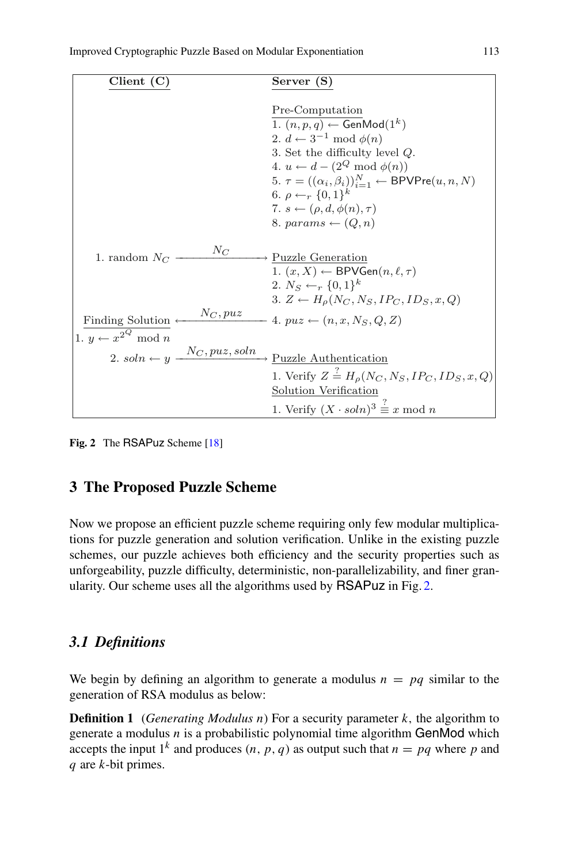| Client (C)                                                                | Server (S)                                                                  |
|---------------------------------------------------------------------------|-----------------------------------------------------------------------------|
|                                                                           |                                                                             |
|                                                                           | Pre-Computation                                                             |
|                                                                           | 1. $(n, p, q) \leftarrow$ GenMod $(1^k)$                                    |
|                                                                           | 2. $d \leftarrow 3^{-1} \mod \phi(n)$                                       |
|                                                                           | 3. Set the difficulty level $Q$ .                                           |
|                                                                           | 4. $u \leftarrow d - (2^Q \mod \phi(n))$                                    |
|                                                                           | 5. $\tau = ((\alpha_i, \beta_i))_{i=1}^N \leftarrow \text{BPVPre}(u, n, N)$ |
|                                                                           | 6. $\rho \leftarrow_r \{0,1\}^k$                                            |
|                                                                           | 7. $s \leftarrow (\rho, d, \phi(n), \tau)$                                  |
|                                                                           | 8. params $\leftarrow (Q, n)$                                               |
|                                                                           |                                                                             |
| $N_C$<br>1. random $N_C$                                                  | $\rightarrow$ Puzzle Generation                                             |
|                                                                           | 1. $(x, X) \leftarrow BPVGen(n, \ell, \tau)$                                |
|                                                                           | 2. $N_S \leftarrow_r \{0,1\}^k$                                             |
|                                                                           | 3. $Z \leftarrow H_o(N_C, N_S, IP_C, ID_S, x, Q)$                           |
|                                                                           | $\frac{N_C, puz}{\longrightarrow}$ 4. $puz \leftarrow (n, x, N_S, Q, Z)$    |
| Finding Solution $\leftarrow$                                             |                                                                             |
| 1. $y \leftarrow x^{2^Q} \mod n$                                          |                                                                             |
| 2. soln $\leftarrow y \xrightarrow{N_C, puz, soln}$ Puzzle Authentication |                                                                             |
|                                                                           | 1. Verify $Z = H_{\rho}(N_C, N_S, IP_C, ID_S, x, Q)$                        |
|                                                                           | Solution Verification                                                       |
|                                                                           |                                                                             |
|                                                                           | 1. Verify $(X \cdot soln)^3 \stackrel{\cdot}{\equiv} x \mod n$              |

<span id="page-6-1"></span>**Fig. 2** The RSAPuz Scheme [\[18](#page-13-7)]

#### <span id="page-6-0"></span>**3 The Proposed Puzzle Scheme**

Now we propose an efficient puzzle scheme requiring only few modular multiplications for puzzle generation and solution verification. Unlike in the existing puzzle schemes, our puzzle achieves both efficiency and the security properties such as unforgeability, puzzle difficulty, deterministic, non-parallelizability, and finer granularity. Our scheme uses all the algorithms used by RSAPuz in Fig. [2.](#page-6-1)

#### *3.1 Definitions*

We begin by defining an algorithm to generate a modulus  $n = pq$  similar to the generation of RSA modulus as below:

**Definition 1** (*Generating Modulus n*) For a security parameter *k*, the algorithm to generate a modulus *n* is a probabilistic polynomial time algorithm GenMod which accepts the input  $1^k$  and produces  $(n, p, q)$  as output such that  $n = pq$  where p and *q* are *k*-bit primes.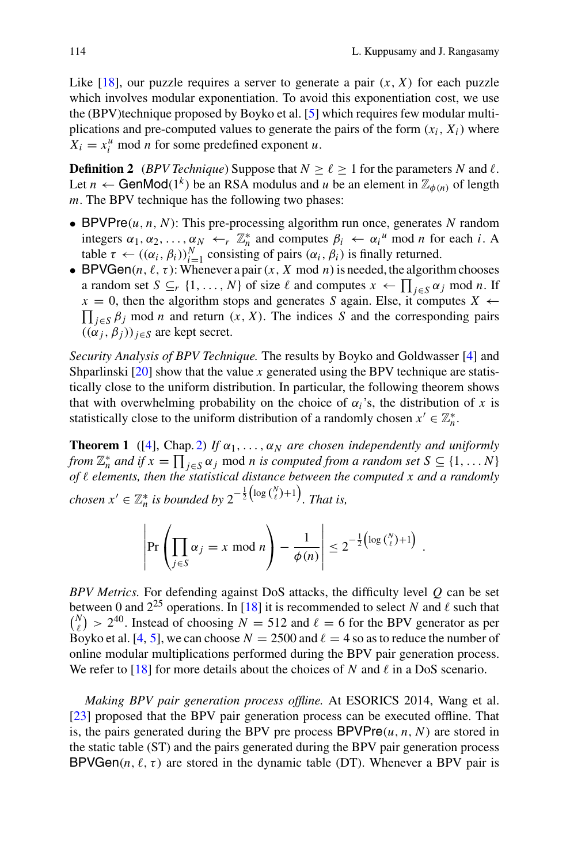Like  $[18]$ , our puzzle requires a server to generate a pair  $(x, X)$  for each puzzle which involves modular exponentiation. To avoid this exponentiation cost, we use the (BPV)technique proposed by Boyko et al. [\[5\]](#page-13-9) which requires few modular multiplications and pre-computed values to generate the pairs of the form  $(x_i, X_i)$  where  $X_i = x_i^u \mod n$  for some predefined exponent *u*.

**Definition 2** (*BPV Technique*) Suppose that  $N \ge \ell \ge 1$  for the parameters *N* and  $\ell$ . Let  $n \leftarrow$  GenMod(1<sup>k</sup>) be an RSA modulus and *u* be an element in  $\mathbb{Z}_{\phi(n)}$  of length *m*. The BPV technique has the following two phases:

- BPVPre(*u*, *n*, *N*): This pre-processing algorithm run once, generates *N* random integers  $\alpha_1, \alpha_2, \ldots, \alpha_N \leftarrow_r \mathbb{Z}_n^*$  and computes  $\beta_i \leftarrow \alpha_i^u \mod n$  for each *i*. A table  $\tau \leftarrow ((\alpha_i, \beta_i))^N_{i=1}$  consisting of pairs  $(\alpha_i, \beta_i)$  is finally returned.
- BPVGen( $n, \ell, \tau$ ): Whenever a pair ( $x, X \text{ mod } n$ ) is needed, the algorithm chooses a random set  $S \subseteq_r \{1, \ldots, N\}$  of size  $\ell$  and computes  $x \leftarrow \prod_{j \in S} \alpha_j \mod n$ . If  $\prod_{j \in S} \beta_j$  mod *n* and return  $(x, X)$ . The indices *S* and the corresponding pairs  $x = 0$ , then the algorithm stops and generates *S* again. Else, it computes  $X \leftarrow$  $((\alpha_j, \beta_j))_{j \in S}$  are kept secret.

*Security Analysis of BPV Technique.* The results by Boyko and Goldwasser [\[4\]](#page-13-10) and Shparlinski [\[20](#page-13-11)] show that the value *x* generated using the BPV technique are statistically close to the uniform distribution. In particular, the following theorem shows that with overwhelming probability on the choice of  $\alpha_i$ 's, the distribution of *x* is statistically close to the uniform distribution of a randomly chosen  $x' \in \mathbb{Z}_n^*$ .

<span id="page-7-0"></span>**Theorem 1** ([\[4](#page-13-10)], Chap. [2\)](http://dx.doi.org/10.1007/978-81-322-2452-5_2) If  $\alpha_1, \ldots, \alpha_N$  are chosen independently and uniformly *from*  $\mathbb{Z}_n^*$  *and if*  $x = \prod_{j \in S} \alpha_j$  mod *n is computed from a random set*  $S \subseteq \{1, \ldots, N\}$ *of elements, then the statistical distance between the computed x and a randomly chosen*  $x' \in \mathbb{Z}_n^*$  *is bounded by*  $2^{-\frac{1}{2}(\log {N \choose \ell}+1)}$ *. That is,* 

$$
\left|\Pr\left(\prod_{j\in S}\alpha_j = x \bmod n\right) - \frac{1}{\phi(n)}\right| \le 2^{-\frac{1}{2}\left(\log {N \choose \ell} + 1\right)}.
$$

*BPV Metrics.* For defending against DoS attacks, the difficulty level *Q* can be set between 0 and  $2^{25}$  operations. In [\[18\]](#page-13-7) it is recommended to select *N* and  $\ell$  such that  $\binom{N}{\ell}$  > 2<sup>40</sup>. Instead of choosing *N* = 512 and  $\ell$  = 6 for the BPV generator as per Boyko et al. [\[4,](#page-13-10) [5\]](#page-13-9), we can choose  $N = 2500$  and  $\ell = 4$  so as to reduce the number of online modular multiplications performed during the BPV pair generation process. We refer to [\[18\]](#page-13-7) for more details about the choices of *N* and  $\ell$  in a DoS scenario.

*Making BPV pair generation process offline.* At ESORICS 2014, Wang et al. [\[23\]](#page-14-0) proposed that the BPV pair generation process can be executed offline. That is, the pairs generated during the BPV pre process  $BPVPre(u, n, N)$  are stored in the static table (ST) and the pairs generated during the BPV pair generation process BPVGen( $n, \ell, \tau$ ) are stored in the dynamic table (DT). Whenever a BPV pair is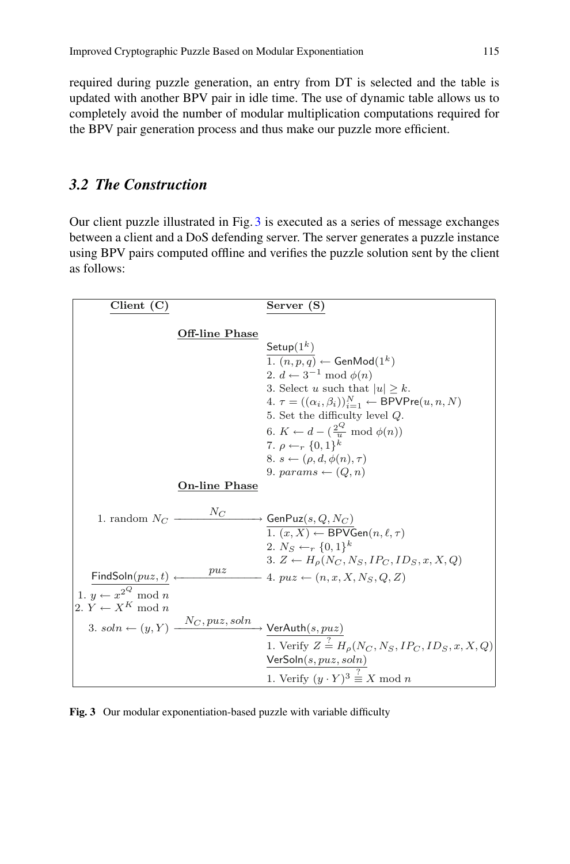required during puzzle generation, an entry from DT is selected and the table is updated with another BPV pair in idle time. The use of dynamic table allows us to completely avoid the number of modular multiplication computations required for the BPV pair generation process and thus make our puzzle more efficient.

# *3.2 The Construction*

Our client puzzle illustrated in Fig. [3](#page-8-0) is executed as a series of message exchanges between a client and a DoS defending server. The server generates a puzzle instance using BPV pairs computed offline and verifies the puzzle solution sent by the client as follows:

| Client $(C)$                     |                                                                             | Server (S)                                                                                   |
|----------------------------------|-----------------------------------------------------------------------------|----------------------------------------------------------------------------------------------|
|                                  |                                                                             |                                                                                              |
|                                  | <b>Off-line Phase</b>                                                       |                                                                                              |
|                                  |                                                                             | Setup $(1^k)$                                                                                |
|                                  |                                                                             | 1. $(n, p, q) \leftarrow$ GenMod $(1^k)$                                                     |
|                                  |                                                                             | 2. $d \leftarrow 3^{-1} \mod \phi(n)$                                                        |
|                                  |                                                                             | 3. Select u such that $ u  \geq k$ .                                                         |
|                                  |                                                                             | 4. $\tau = ((\alpha_i, \beta_i))_{i=1}^N \leftarrow BPVPre(u, n, N)$                         |
|                                  |                                                                             | 5. Set the difficulty level Q.                                                               |
|                                  |                                                                             | 6. $K \leftarrow d - \left(\frac{2^{\mathcal{Q}}}{u} \mod \phi(n)\right)$                    |
|                                  |                                                                             | 7. $\rho \leftarrow_r \{0,1\}^k$                                                             |
|                                  |                                                                             | 8. $s \leftarrow (\rho, d, \phi(n), \tau)$                                                   |
|                                  |                                                                             | 9. params $\leftarrow (Q, n)$                                                                |
|                                  | <b>On-line Phase</b>                                                        |                                                                                              |
|                                  |                                                                             |                                                                                              |
|                                  |                                                                             | 1. random $N_C \xrightarrow{N_C}$ GenPuz $(s, Q, N_C)$                                       |
|                                  |                                                                             | $1. (x, X) \leftarrow B$ PVGen $(n, \ell, \tau)$                                             |
|                                  |                                                                             | 2. $N_S \leftarrow_r \{0, 1\}^k$                                                             |
|                                  |                                                                             | 3. $Z \leftarrow H_{\rho}(N_C, N_S, IP_C, ID_S, x, X, Q)$                                    |
|                                  |                                                                             | $FindSoln(puz, t) \longleftarrow \frac{puz}{1 - z}$ 4. $puz \leftarrow (n, x, X, N_S, Q, Z)$ |
| 1. $y \leftarrow x^{2^Q} \mod n$ |                                                                             |                                                                                              |
| 2. $Y \leftarrow X^K \mod n$     |                                                                             |                                                                                              |
|                                  |                                                                             |                                                                                              |
|                                  | 3. $soln \leftarrow (y, Y) \xrightarrow{N_C, puz, soln}$ VerAuth $(s, puz)$ |                                                                                              |
|                                  |                                                                             | 1. Verify $Z = H_{\rho}(N_C, N_S, IP_C, ID_S, x, X, Q)$                                      |
|                                  |                                                                             | VerSoln(s, puz, soln)                                                                        |
|                                  |                                                                             | 1. Verify $(y \cdot Y)^3 \stackrel{\cdot}{\equiv} X \bmod n$                                 |

<span id="page-8-0"></span>**Fig. 3** Our modular exponentiation-based puzzle with variable difficulty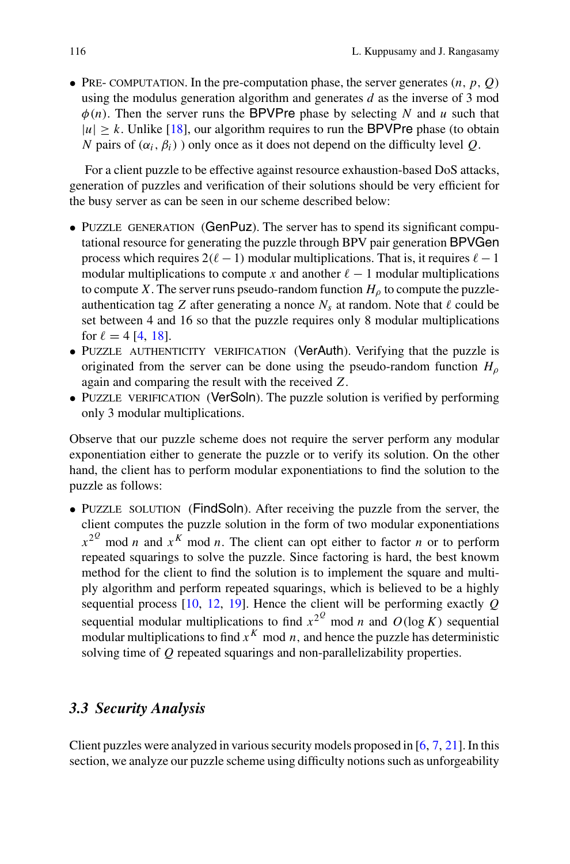• PRE- COMPUTATION. In the pre-computation phase, the server generates  $(n, p, Q)$ using the modulus generation algorithm and generates *d* as the inverse of 3 mod  $\phi(n)$ . Then the server runs the BPVPre phase by selecting N and u such that  $|u| \ge k$ . Unlike [\[18](#page-13-7)], our algorithm requires to run the BPVPre phase (to obtain *N* pairs of  $(\alpha_i, \beta_i)$  ) only once as it does not depend on the difficulty level *Q*.

For a client puzzle to be effective against resource exhaustion-based DoS attacks, generation of puzzles and verification of their solutions should be very efficient for the busy server as can be seen in our scheme described below:

- PUZZLE GENERATION (GenPuz). The server has to spend its significant computational resource for generating the puzzle through BPV pair generation BPVGen process which requires  $2(\ell - 1)$  modular multiplications. That is, it requires  $\ell - 1$ modular multiplications to compute *x* and another  $\ell - 1$  modular multiplications to compute *X*. The server runs pseudo-random function  $H_0$  to compute the puzzleauthentication tag *Z* after generating a nonce  $N_s$  at random. Note that  $\ell$  could be set between 4 and 16 so that the puzzle requires only 8 modular multiplications for  $\ell = 4$  [\[4,](#page-13-10) [18\]](#page-13-7).
- PUZZLE AUTHENTICITY VERIFICATION (VerAuth). Verifying that the puzzle is originated from the server can be done using the pseudo-random function  $H<sub>o</sub>$ again and comparing the result with the received *Z*.
- PUZZLE VERIFICATION (VerSoln). The puzzle solution is verified by performing only 3 modular multiplications.

Observe that our puzzle scheme does not require the server perform any modular exponentiation either to generate the puzzle or to verify its solution. On the other hand, the client has to perform modular exponentiations to find the solution to the puzzle as follows:

• PUZZLE SOLUTION (FindSoln). After receiving the puzzle from the server, the client computes the puzzle solution in the form of two modular exponentiations  $x^{2Q}$  mod *n* and  $x^K$  mod *n*. The client can opt either to factor *n* or to perform repeated squarings to solve the puzzle. Since factoring is hard, the best knowm method for the client to find the solution is to implement the square and multiply algorithm and perform repeated squarings, which is believed to be a highly sequential process [\[10](#page-13-12), [12,](#page-13-6) [19](#page-13-1)]. Hence the client will be performing exactly *Q* sequential modular multiplications to find  $x^{2Q}$  mod *n* and  $O(\log K)$  sequential modular multiplications to find  $x<sup>K</sup>$  mod *n*, and hence the puzzle has deterministic solving time of *Q* repeated squarings and non-parallelizability properties.

# *3.3 Security Analysis*

Client puzzles were analyzed in various security models proposed in [\[6,](#page-13-13) [7,](#page-13-8) [21](#page-13-14)]. In this section, we analyze our puzzle scheme using difficulty notions such as unforgeability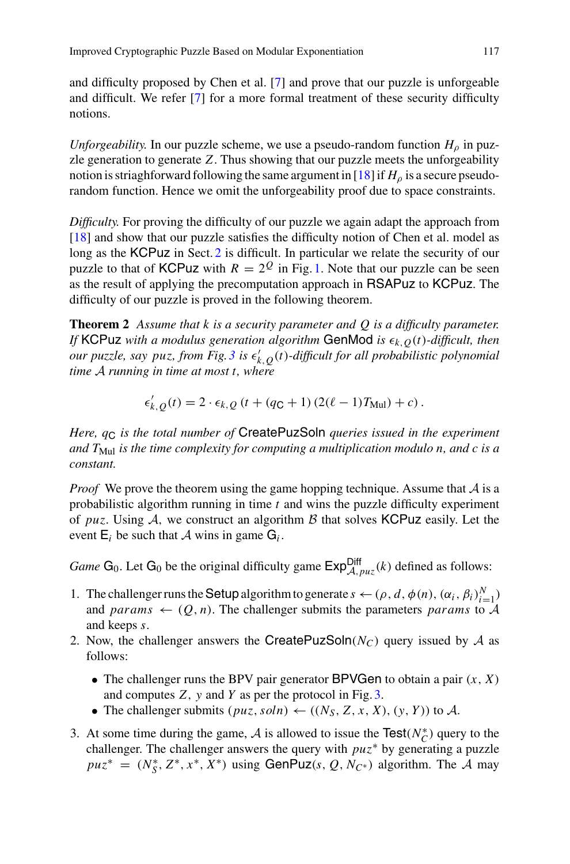and difficulty proposed by Chen et al. [\[7\]](#page-13-8) and prove that our puzzle is unforgeable and difficult. We refer [\[7](#page-13-8)] for a more formal treatment of these security difficulty notions.

*Unforgeability.* In our puzzle scheme, we use a pseudo-random function  $H_{\rho}$  in puzzle generation to generate *Z*. Thus showing that our puzzle meets the unforgeability notion is striaghforward following the same argument in [\[18\]](#page-13-7) if  $H<sub>o</sub>$  is a secure pseudorandom function. Hence we omit the unforgeability proof due to space constraints.

*Difficulty.* For proving the difficulty of our puzzle we again adapt the approach from [\[18\]](#page-13-7) and show that our puzzle satisfies the difficulty notion of Chen et al. model as long as the KCPuz in Sect. [2](#page-3-0) is difficult. In particular we relate the security of our puzzle to that of **KCPuz** with  $R = 2^{\circ}$  in Fig. [1.](#page-4-0) Note that our puzzle can be seen as the result of applying the precomputation approach in RSAPuz to KCPuz. The difficulty of our puzzle is proved in the following theorem.

**Theorem 2** *Assume that k is a security parameter and Q is a difficulty parameter. If* KCPuz with a modulus generation algorithm GenMod is  $\epsilon_{k,Q}(t)$ -difficult, then *our puzzle, say puz, from Fig.[3](#page-8-0) is <sup>k</sup>*,*Q*(*t*)*-difficult for all probabilistic polynomial time A running in time at most t, where*

$$
\epsilon'_{k,Q}(t) = 2 \cdot \epsilon_{k,Q} \left( t + (q_{\mathsf{C}} + 1) \left( 2(\ell - 1) T_{\text{Mul}} \right) + c \right).
$$

*Here, q*<sup>C</sup> *is the total number of* CreatePuzSoln *queries issued in the experiment and T*Mul *is the time complexity for computing a multiplication modulo n, and c is a constant.*

*Proof* We prove the theorem using the game hopping technique. Assume that  $\mathcal A$  is a probabilistic algorithm running in time *t* and wins the puzzle difficulty experiment of *puz*. Using *A*, we construct an algorithm *B* that solves KCPuz easily. Let the event  $E_i$  be such that *A* wins in game  $G_i$ .

*Game*  $G_0$ . Let  $G_0$  be the original difficulty game  $Exp_{A, puz}^{Diff}(k)$  defined as follows:

- 1. The challenger runs the Setup algorithm to generate  $s \leftarrow (\rho, d, \phi(n), (\alpha_i, \beta_i)_{i=1}^N)$ and *params*  $\leftarrow (Q, n)$ . The challenger submits the parameters *params* to A and keeps *s*.
- 2. Now, the challenger answers the CreatePuzSoln( $N_c$ ) query issued by  $\mathcal A$  as follows:
	- The challenger runs the BPV pair generator BPVGen to obtain a pair (*x*, *X*) and computes *Z*, *y* and *Y* as per the protocol in Fig. [3.](#page-8-0)
	- The challenger submits  $(\textit{puz}, \textit{soln}) \leftarrow ((N_S, Z, x, X), (y, Y))$  to A.
- 3. At some time during the game,  $\mathcal A$  is allowed to issue the Test( $N_C^*$ ) query to the challenger. The challenger answers the query with *puz*∗ by generating a puzzle  $puz^* = (N_S^*, Z^*, x^*, X^*)$  using GenPuz(*s*, *Q*,  $N_{C^*}$ ) algorithm. The *A* may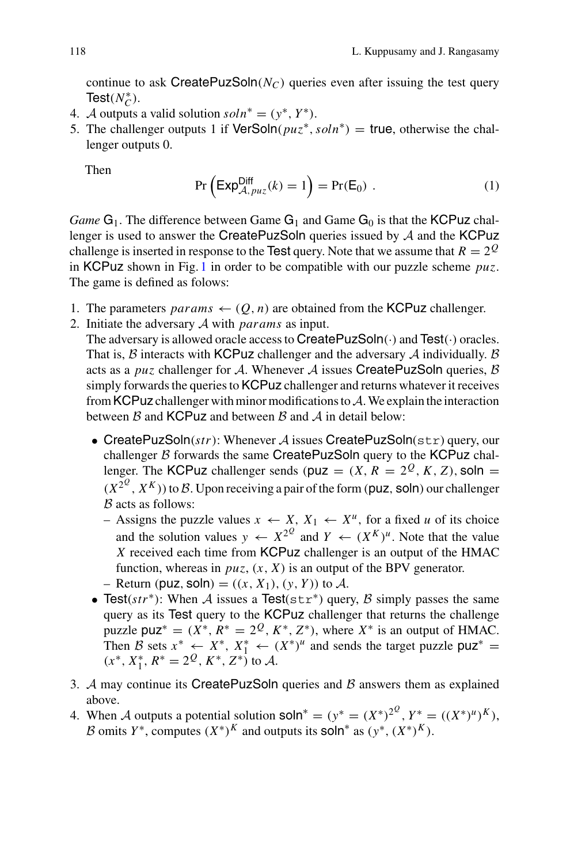continue to ask CreatePuzSoln( $N<sub>C</sub>$ ) queries even after issuing the test query  $Test(N_C^*)$ .

- 4. *A* outputs a valid solution  $\text{sol}n^* = (\nu^*, Y^*)$ .
- 5. The challenger outputs 1 if  $VerSoln(puz^*, soln^*) = true$ , otherwise the challenger outputs 0.

<span id="page-11-0"></span>Then

$$
\Pr\left(\text{Exp}_{\mathcal{A},\,puz}^{\text{Diff}}(k) = 1\right) = \Pr(\mathsf{E}_0) \tag{1}
$$

*Game*  $G_1$ . The difference between Game  $G_1$  and Game  $G_0$  is that the KCPuz challenger is used to answer the CreatePuzSoln queries issued by *A* and the KCPuz challenge is inserted in response to the Test query. Note that we assume that  $R = 2^{\mathcal{Q}}$ in KCPuz shown in Fig. [1](#page-4-0) in order to be compatible with our puzzle scheme *puz*. The game is defined as folows:

- 1. The parameters *params*  $\leftarrow (Q, n)$  are obtained from the **KCPuz** challenger.
- 2. Initiate the adversary *A* with *params* as input. The adversary is allowed oracle access to CreatePuzSoln $(\cdot)$  and Test $(\cdot)$  oracles. That is, *B* interacts with KCPuz challenger and the adversary *A* individually. *B* acts as a *puz* challenger for *A*. Whenever *A* issues CreatePuzSoln queries, *B* simply forwards the queries to KCPuz challenger and returns whatever it receives fromKCPuz challenger with minor modifications to*A*.We explain the interaction between *B* and KCPuz and between *B* and *A* in detail below:
	- CreatePuzSoln(*str*): Whenever *A* issues CreatePuzSoln(str) query, our challenger *B* forwards the same CreatePuzSoln query to the KCPuz challenger. The KCPuz challenger sends (puz =  $(X, R = 2^Q, K, Z)$ , soln =  $(X^{2^Q}, X^K)$  to *B*. Upon receiving a pair of the form (puz, soln) our challenger *B* acts as follows:
		- Assigns the puzzle values  $x \leftarrow X$ ,  $X_1 \leftarrow X^u$ , for a fixed *u* of its choice and the solution values  $y \leftarrow X^{2^Q}$  and  $Y \leftarrow (X^K)^u$ . Note that the value *X* received each time from KCPuz challenger is an output of the HMAC function, whereas in  $puz$ ,  $(x, X)$  is an output of the BPV generator.
		- $-$  Return (puz, soln) =  $((x, X_1), (y, Y))$  to A.
	- Test( $str^*$ ): When *A* issues a Test( $str^*$ ) query, *B* simply passes the same query as its Test query to the KCPuz challenger that returns the challenge puzzle  $\text{puzz}^* = (X^*, R^* = 2^{\mathcal{Q}}, K^*, Z^*)$ , where  $X^*$  is an output of HMAC. Then *B* sets  $x^* \leftarrow X^*$ ,  $X_1^* \leftarrow (X^*)^u$  and sends the target puzzle puz<sup>\*</sup> =  $(x^*, X_1^*, R^* = 2^{\mathcal{Q}}, K^*, Z^*)$  to *A*.
- 3. *A* may continue its CreatePuzSoln queries and *B* answers them as explained above.
- 4. When *A* outputs a potential solution  $\text{soln}^* = (y^* = (X^*)^2)^2$ ,  $Y^* = ((X^*)^u)^K$ , *B* omits *Y*<sup>\*</sup>, computes  $(X^*)^K$  and outputs its soln<sup>\*</sup> as  $(y^*, (X^*)^K)$ .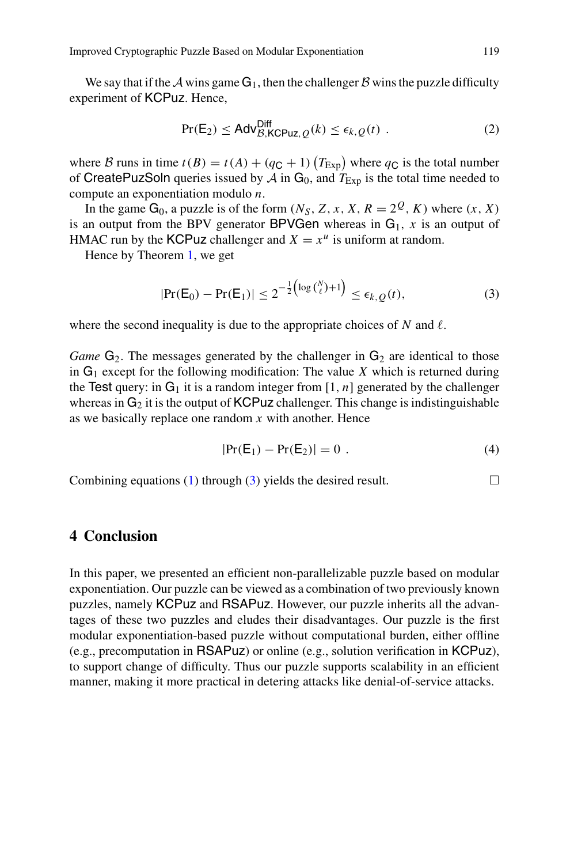We say that if the A wins game  $G_1$ , then the challenger B wins the puzzle difficulty experiment of KCPuz. Hence,

$$
\Pr(\mathsf{E}_2) \le \mathsf{Adv}_{\mathcal{B}, \mathsf{KCPuz}, Q}^{\mathsf{Diff}}(k) \le \epsilon_{k,Q}(t) \tag{2}
$$

where *B* runs in time  $t(B) = t(A) + (q_C + 1) (T_{Exp})$  where  $q_C$  is the total number of CreatePuzSoln queries issued by  $A$  in  $G_0$ , and  $T_{Exp}$  is the total time needed to compute an exponentiation modulo *n*.

In the game  $G_0$ , a puzzle is of the form  $(N_S, Z, x, X, R = 2^Q, K)$  where  $(x, X)$ is an output from the BPV generator BPVGen whereas in  $G_1$ ,  $x$  is an output of HMAC run by the **KCPuz** challenger and  $X = x^u$  is uniform at random.

<span id="page-12-1"></span>Hence by Theorem [1,](#page-7-0) we get

$$
|\Pr(\mathsf{E}_0) - \Pr(\mathsf{E}_1)| \le 2^{-\frac{1}{2}\left(\log {N \choose \ell} + 1\right)} \le \epsilon_{k,Q}(t),\tag{3}
$$

where the second inequality is due to the appropriate choices of  $N$  and  $\ell$ .

*Game*  $G_2$ . The messages generated by the challenger in  $G_2$  are identical to those in  $G_1$  except for the following modification: The value *X* which is returned during the Test query: in  $G_1$  it is a random integer from [1, *n*] generated by the challenger whereas in  $G_2$  it is the output of KCPuz challenger. This change is indistinguishable as we basically replace one random *x* with another. Hence

$$
|\Pr(\mathsf{E}_1) - \Pr(\mathsf{E}_2)| = 0.
$$
 (4)

Combining equations [\(1\)](#page-11-0) through [\(3\)](#page-12-1) yields the desired result.  $\Box$ 

#### <span id="page-12-0"></span>**4 Conclusion**

In this paper, we presented an efficient non-parallelizable puzzle based on modular exponentiation. Our puzzle can be viewed as a combination of two previously known puzzles, namely KCPuz and RSAPuz. However, our puzzle inherits all the advantages of these two puzzles and eludes their disadvantages. Our puzzle is the first modular exponentiation-based puzzle without computational burden, either offline (e.g., precomputation in RSAPuz) or online (e.g., solution verification in KCPuz), to support change of difficulty. Thus our puzzle supports scalability in an efficient manner, making it more practical in detering attacks like denial-of-service attacks.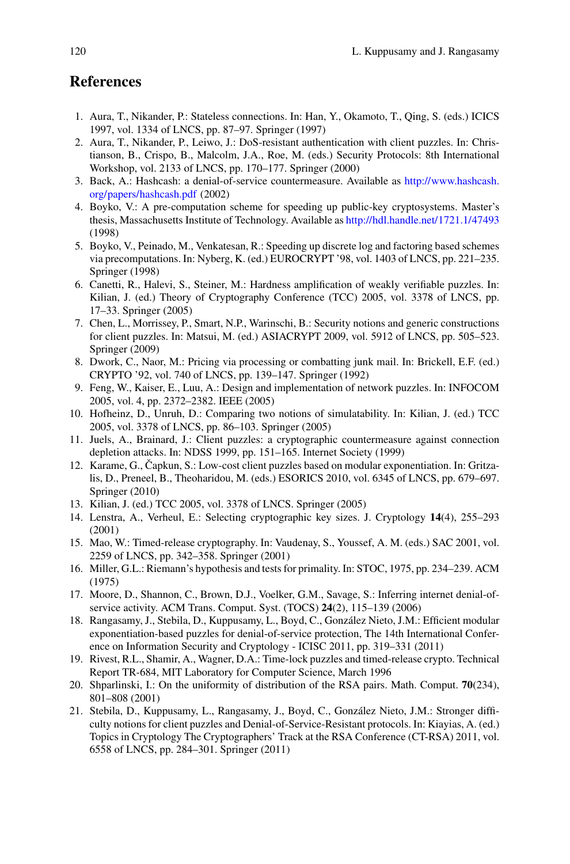## **References**

- 1. Aura, T., Nikander, P.: Stateless connections. In: Han, Y., Okamoto, T., Qing, S. (eds.) ICICS 1997, vol. 1334 of LNCS, pp. 87–97. Springer (1997)
- 2. Aura, T., Nikander, P., Leiwo, J.: DoS-resistant authentication with client puzzles. In: Christianson, B., Crispo, B., Malcolm, J.A., Roe, M. (eds.) Security Protocols: 8th International Workshop, vol. 2133 of LNCS, pp. 170–177. Springer (2000)
- <span id="page-13-3"></span>3. Back, A.: Hashcash: a denial-of-service countermeasure. Available as [http://www.hashcash.](http://www.hashcash.org/papers/hashcash.pdf) [org/papers/hashcash.pdf](http://www.hashcash.org/papers/hashcash.pdf) (2002)
- <span id="page-13-10"></span>4. Boyko, V.: A pre-computation scheme for speeding up public-key cryptosystems. Master's thesis, Massachusetts Institute of Technology. Available as <http://hdl.handle.net/1721.1/47493> (1998)
- <span id="page-13-9"></span>5. Boyko, V., Peinado, M., Venkatesan, R.: Speeding up discrete log and factoring based schemes via precomputations. In: Nyberg, K. (ed.) EUROCRYPT '98, vol. 1403 of LNCS, pp. 221–235. Springer (1998)
- <span id="page-13-13"></span>6. Canetti, R., Halevi, S., Steiner, M.: Hardness amplification of weakly verifiable puzzles. In: Kilian, J. (ed.) Theory of Cryptography Conference (TCC) 2005, vol. 3378 of LNCS, pp. 17–33. Springer (2005)
- <span id="page-13-8"></span>7. Chen, L., Morrissey, P., Smart, N.P., Warinschi, B.: Security notions and generic constructions for client puzzles. In: Matsui, M. (ed.) ASIACRYPT 2009, vol. 5912 of LNCS, pp. 505–523. Springer (2009)
- <span id="page-13-0"></span>8. Dwork, C., Naor, M.: Pricing via processing or combatting junk mail. In: Brickell, E.F. (ed.) CRYPTO '92, vol. 740 of LNCS, pp. 139–147. Springer (1992)
- 9. Feng, W., Kaiser, E., Luu, A.: Design and implementation of network puzzles. In: INFOCOM 2005, vol. 4, pp. 2372–2382. IEEE (2005)
- <span id="page-13-12"></span><span id="page-13-4"></span>10. Hofheinz, D., Unruh, D.: Comparing two notions of simulatability. In: Kilian, J. (ed.) TCC 2005, vol. 3378 of LNCS, pp. 86–103. Springer (2005)
- <span id="page-13-5"></span>11. Juels, A., Brainard, J.: Client puzzles: a cryptographic countermeasure against connection depletion attacks. In: NDSS 1999, pp. 151–165. Internet Society (1999)
- <span id="page-13-6"></span>12. Karame, G., Čapkun, S.: Low-cost client puzzles based on modular exponentiation. In: Gritzalis, D., Preneel, B., Theoharidou, M. (eds.) ESORICS 2010, vol. 6345 of LNCS, pp. 679–697. Springer (2010)
- 13. Kilian, J. (ed.) TCC 2005, vol. 3378 of LNCS. Springer (2005)
- 14. Lenstra, A., Verheul, E.: Selecting cryptographic key sizes. J. Cryptology **14**(4), 255–293 (2001)
- 15. Mao, W.: Timed-release cryptography. In: Vaudenay, S., Youssef, A. M. (eds.) SAC 2001, vol. 2259 of LNCS, pp. 342–358. Springer (2001)
- 16. Miller, G.L.: Riemann's hypothesis and tests for primality. In: STOC, 1975, pp. 234–239. ACM (1975)
- <span id="page-13-2"></span>17. Moore, D., Shannon, C., Brown, D.J., Voelker, G.M., Savage, S.: Inferring internet denial-ofservice activity. ACM Trans. Comput. Syst. (TOCS) **24**(2), 115–139 (2006)
- <span id="page-13-7"></span>18. Rangasamy, J., Stebila, D., Kuppusamy, L., Boyd, C., González Nieto, J.M.: Efficient modular exponentiation-based puzzles for denial-of-service protection, The 14th International Conference on Information Security and Cryptology - ICISC 2011, pp. 319–331 (2011)
- <span id="page-13-1"></span>19. Rivest, R.L., Shamir, A., Wagner, D.A.: Time-lock puzzles and timed-release crypto. Technical Report TR-684, MIT Laboratory for Computer Science, March 1996
- <span id="page-13-11"></span>20. Shparlinski, I.: On the uniformity of distribution of the RSA pairs. Math. Comput. **70**(234), 801–808 (2001)
- <span id="page-13-14"></span>21. Stebila, D., Kuppusamy, L., Rangasamy, J., Boyd, C., González Nieto, J.M.: Stronger difficulty notions for client puzzles and Denial-of-Service-Resistant protocols. In: Kiayias, A. (ed.) Topics in Cryptology The Cryptographers' Track at the RSA Conference (CT-RSA) 2011, vol. 6558 of LNCS, pp. 284–301. Springer (2011)